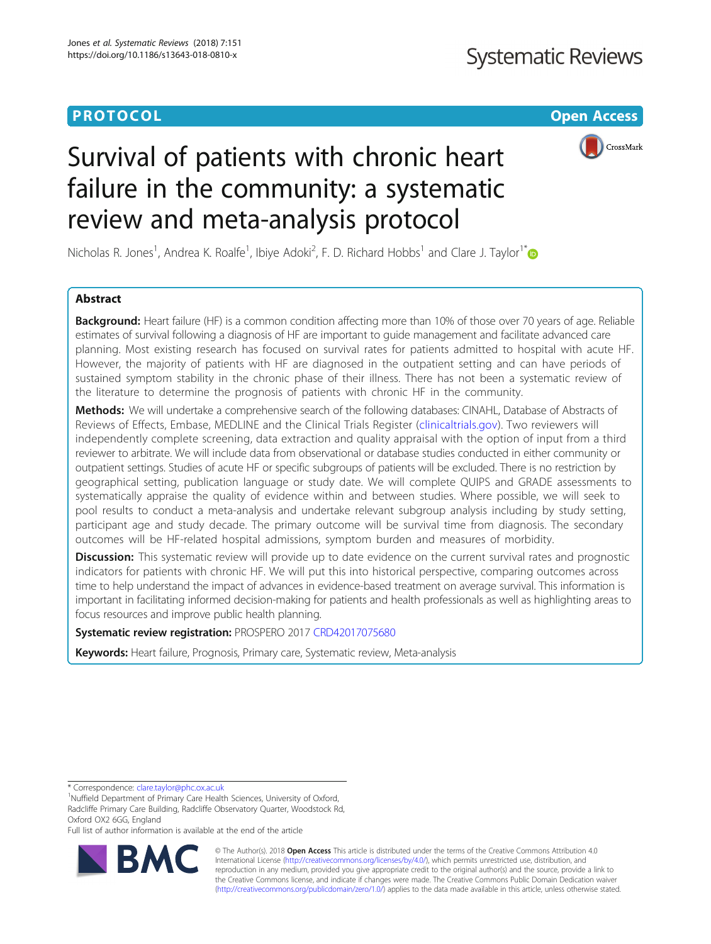# **PROTOCOL CONSUMING THE CONSUMING TEACHER CONSUMING THE CONSUMING TEACHER CONSUMING THE CONSUMING TEACHER CONSUMING**



# Survival of patients with chronic heart failure in the community: a systematic review and meta-analysis protocol

Nicholas R. Jones<sup>1</sup>, Andrea K. Roalfe<sup>1</sup>, Ibiye Adoki<sup>2</sup>, F. D. Richard Hobbs<sup>1</sup> and Clare J. Taylor<sup>1[\\*](http://orcid.org/0000-0001-8926-2581)</sup>

## Abstract

Background: Heart failure (HF) is a common condition affecting more than 10% of those over 70 years of age. Reliable estimates of survival following a diagnosis of HF are important to guide management and facilitate advanced care planning. Most existing research has focused on survival rates for patients admitted to hospital with acute HF. However, the majority of patients with HF are diagnosed in the outpatient setting and can have periods of sustained symptom stability in the chronic phase of their illness. There has not been a systematic review of the literature to determine the prognosis of patients with chronic HF in the community.

Methods: We will undertake a comprehensive search of the following databases: CINAHL, Database of Abstracts of Reviews of Effects, Embase, MEDLINE and the Clinical Trials Register [\(clinicaltrials.gov\)](http://clinicaltrials.gov). Two reviewers will independently complete screening, data extraction and quality appraisal with the option of input from a third reviewer to arbitrate. We will include data from observational or database studies conducted in either community or outpatient settings. Studies of acute HF or specific subgroups of patients will be excluded. There is no restriction by geographical setting, publication language or study date. We will complete QUIPS and GRADE assessments to systematically appraise the quality of evidence within and between studies. Where possible, we will seek to pool results to conduct a meta-analysis and undertake relevant subgroup analysis including by study setting, participant age and study decade. The primary outcome will be survival time from diagnosis. The secondary outcomes will be HF-related hospital admissions, symptom burden and measures of morbidity.

**Discussion:** This systematic review will provide up to date evidence on the current survival rates and prognostic indicators for patients with chronic HF. We will put this into historical perspective, comparing outcomes across time to help understand the impact of advances in evidence-based treatment on average survival. This information is important in facilitating informed decision-making for patients and health professionals as well as highlighting areas to focus resources and improve public health planning.

Systematic review registration: PROSPERO 2017 [CRD42017075680](http://www.crd.york.ac.uk/PROSPERO/display_record.php?ID=CRD42017075680)

Keywords: Heart failure, Prognosis, Primary care, Systematic review, Meta-analysis

\* Correspondence: [clare.taylor@phc.ox.ac.uk](mailto:clare.taylor@phc.ox.ac.uk) <sup>1</sup>

<sup>1</sup>Nuffield Department of Primary Care Health Sciences, University of Oxford, Radcliffe Primary Care Building, Radcliffe Observatory Quarter, Woodstock Rd, Oxford OX2 6GG, England

Full list of author information is available at the end of the article



© The Author(s). 2018 Open Access This article is distributed under the terms of the Creative Commons Attribution 4.0 International License [\(http://creativecommons.org/licenses/by/4.0/](http://creativecommons.org/licenses/by/4.0/)), which permits unrestricted use, distribution, and reproduction in any medium, provided you give appropriate credit to the original author(s) and the source, provide a link to the Creative Commons license, and indicate if changes were made. The Creative Commons Public Domain Dedication waiver [\(http://creativecommons.org/publicdomain/zero/1.0/](http://creativecommons.org/publicdomain/zero/1.0/)) applies to the data made available in this article, unless otherwise stated.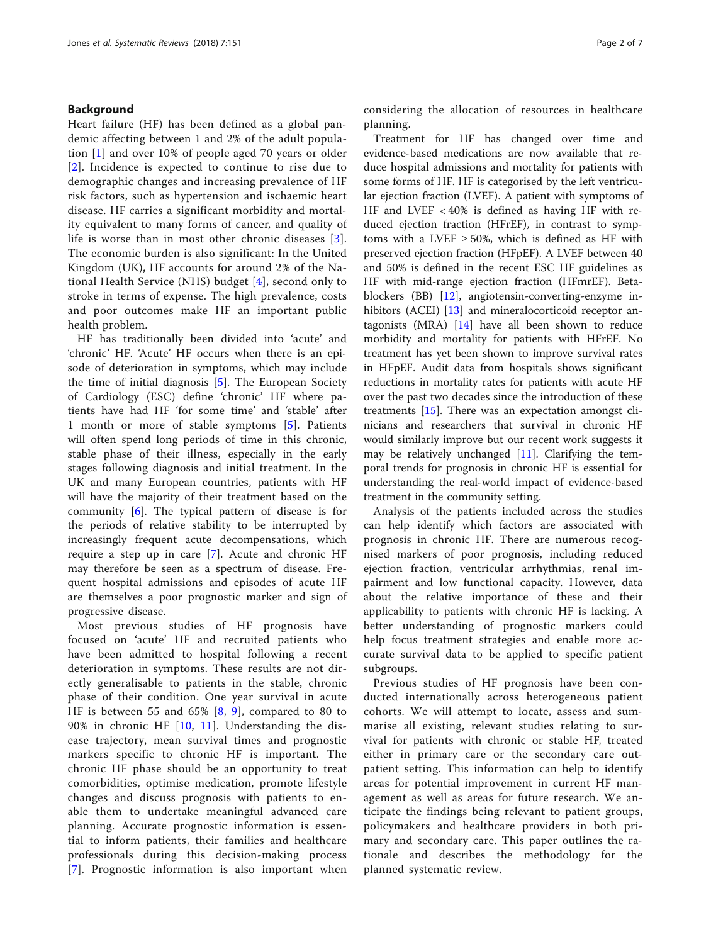## Background

Heart failure (HF) has been defined as a global pandemic affecting between 1 and 2% of the adult population [\[1](#page-6-0)] and over 10% of people aged 70 years or older [[2](#page-6-0)]. Incidence is expected to continue to rise due to demographic changes and increasing prevalence of HF risk factors, such as hypertension and ischaemic heart disease. HF carries a significant morbidity and mortality equivalent to many forms of cancer, and quality of life is worse than in most other chronic diseases [[3](#page-6-0)]. The economic burden is also significant: In the United Kingdom (UK), HF accounts for around 2% of the National Health Service (NHS) budget [[4\]](#page-6-0), second only to stroke in terms of expense. The high prevalence, costs and poor outcomes make HF an important public health problem.

HF has traditionally been divided into 'acute' and 'chronic' HF. 'Acute' HF occurs when there is an episode of deterioration in symptoms, which may include the time of initial diagnosis [\[5](#page-6-0)]. The European Society of Cardiology (ESC) define 'chronic' HF where patients have had HF 'for some time' and 'stable' after 1 month or more of stable symptoms [[5\]](#page-6-0). Patients will often spend long periods of time in this chronic, stable phase of their illness, especially in the early stages following diagnosis and initial treatment. In the UK and many European countries, patients with HF will have the majority of their treatment based on the community [[6\]](#page-6-0). The typical pattern of disease is for the periods of relative stability to be interrupted by increasingly frequent acute decompensations, which require a step up in care [\[7\]](#page-6-0). Acute and chronic HF may therefore be seen as a spectrum of disease. Frequent hospital admissions and episodes of acute HF are themselves a poor prognostic marker and sign of progressive disease.

Most previous studies of HF prognosis have focused on 'acute' HF and recruited patients who have been admitted to hospital following a recent deterioration in symptoms. These results are not directly generalisable to patients in the stable, chronic phase of their condition. One year survival in acute HF is between 55 and 65% [\[8,](#page-6-0) [9](#page-6-0)], compared to 80 to 90% in chronic HF [\[10,](#page-6-0) [11\]](#page-6-0). Understanding the disease trajectory, mean survival times and prognostic markers specific to chronic HF is important. The chronic HF phase should be an opportunity to treat comorbidities, optimise medication, promote lifestyle changes and discuss prognosis with patients to enable them to undertake meaningful advanced care planning. Accurate prognostic information is essential to inform patients, their families and healthcare professionals during this decision-making process [[7](#page-6-0)]. Prognostic information is also important when considering the allocation of resources in healthcare planning.

Treatment for HF has changed over time and evidence-based medications are now available that reduce hospital admissions and mortality for patients with some forms of HF. HF is categorised by the left ventricular ejection fraction (LVEF). A patient with symptoms of HF and LVEF < 40% is defined as having HF with reduced ejection fraction (HFrEF), in contrast to symptoms with a LVEF  $\geq$  50%, which is defined as HF with preserved ejection fraction (HFpEF). A LVEF between 40 and 50% is defined in the recent ESC HF guidelines as HF with mid-range ejection fraction (HFmrEF). Betablockers (BB) [[12](#page-6-0)], angiotensin-converting-enzyme in-hibitors (ACEI) [\[13](#page-6-0)] and mineralocorticoid receptor antagonists (MRA) [[14](#page-6-0)] have all been shown to reduce morbidity and mortality for patients with HFrEF. No treatment has yet been shown to improve survival rates in HFpEF. Audit data from hospitals shows significant reductions in mortality rates for patients with acute HF over the past two decades since the introduction of these treatments  $[15]$  $[15]$  $[15]$ . There was an expectation amongst clinicians and researchers that survival in chronic HF would similarly improve but our recent work suggests it may be relatively unchanged [\[11\]](#page-6-0). Clarifying the temporal trends for prognosis in chronic HF is essential for understanding the real-world impact of evidence-based treatment in the community setting.

Analysis of the patients included across the studies can help identify which factors are associated with prognosis in chronic HF. There are numerous recognised markers of poor prognosis, including reduced ejection fraction, ventricular arrhythmias, renal impairment and low functional capacity. However, data about the relative importance of these and their applicability to patients with chronic HF is lacking. A better understanding of prognostic markers could help focus treatment strategies and enable more accurate survival data to be applied to specific patient subgroups.

Previous studies of HF prognosis have been conducted internationally across heterogeneous patient cohorts. We will attempt to locate, assess and summarise all existing, relevant studies relating to survival for patients with chronic or stable HF, treated either in primary care or the secondary care outpatient setting. This information can help to identify areas for potential improvement in current HF management as well as areas for future research. We anticipate the findings being relevant to patient groups, policymakers and healthcare providers in both primary and secondary care. This paper outlines the rationale and describes the methodology for the planned systematic review.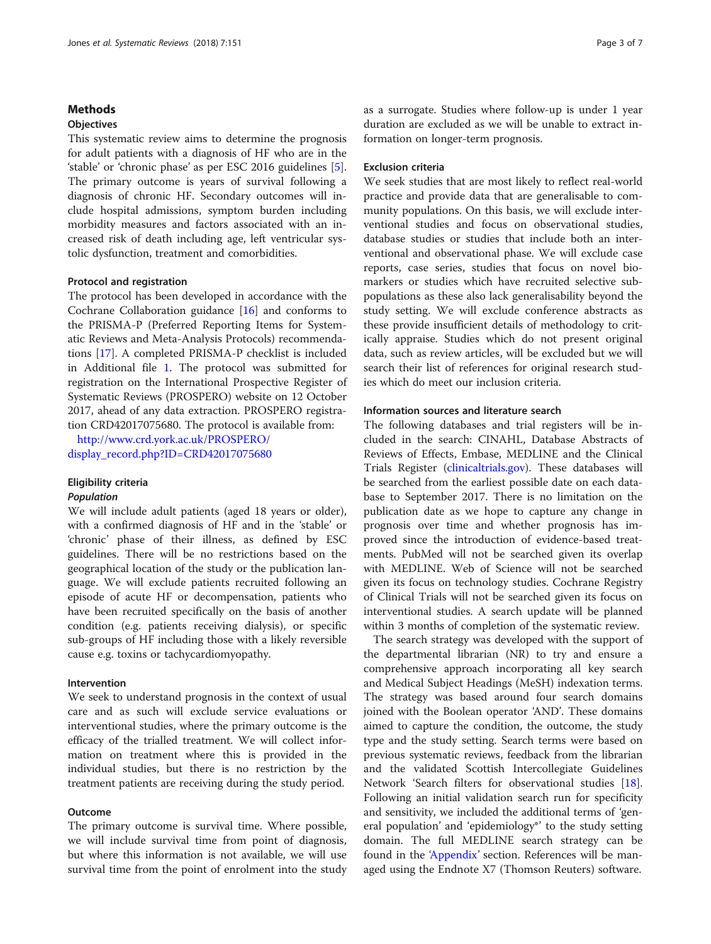## Methods

## **Objectives**

This systematic review aims to determine the prognosis for adult patients with a diagnosis of HF who are in the 'stable' or 'chronic phase' as per ESC 2016 guidelines [\[5](#page-6-0)]. The primary outcome is years of survival following a diagnosis of chronic HF. Secondary outcomes will include hospital admissions, symptom burden including morbidity measures and factors associated with an increased risk of death including age, left ventricular systolic dysfunction, treatment and comorbidities.

#### Protocol and registration

The protocol has been developed in accordance with the Cochrane Collaboration guidance [[16](#page-6-0)] and conforms to the PRISMA-P (Preferred Reporting Items for Systematic Reviews and Meta-Analysis Protocols) recommendations [\[17](#page-6-0)]. A completed PRISMA-P checklist is included in Additional file [1](#page-5-0). The protocol was submitted for registration on the International Prospective Register of Systematic Reviews (PROSPERO) website on 12 October 2017, ahead of any data extraction. PROSPERO registration CRD42017075680. The protocol is available from:

[http://www.crd.york.ac.uk/PROSPERO/](http://www.crd.york.ac.uk/PROSPERO/display_record.php?ID=CRD42017075680) [display\\_record.php?ID=CRD42017075680](http://www.crd.york.ac.uk/PROSPERO/display_record.php?ID=CRD42017075680)

# Eligibility criteria

## Population

We will include adult patients (aged 18 years or older), with a confirmed diagnosis of HF and in the 'stable' or 'chronic' phase of their illness, as defined by ESC guidelines. There will be no restrictions based on the geographical location of the study or the publication language. We will exclude patients recruited following an episode of acute HF or decompensation, patients who have been recruited specifically on the basis of another condition (e.g. patients receiving dialysis), or specific sub-groups of HF including those with a likely reversible cause e.g. toxins or tachycardiomyopathy.

## Intervention

We seek to understand prognosis in the context of usual care and as such will exclude service evaluations or interventional studies, where the primary outcome is the efficacy of the trialled treatment. We will collect information on treatment where this is provided in the individual studies, but there is no restriction by the treatment patients are receiving during the study period.

## **Outcome**

The primary outcome is survival time. Where possible, we will include survival time from point of diagnosis, but where this information is not available, we will use survival time from the point of enrolment into the study as a surrogate. Studies where follow-up is under 1 year duration are excluded as we will be unable to extract information on longer-term prognosis.

## Exclusion criteria

We seek studies that are most likely to reflect real-world practice and provide data that are generalisable to community populations. On this basis, we will exclude interventional studies and focus on observational studies, database studies or studies that include both an interventional and observational phase. We will exclude case reports, case series, studies that focus on novel biomarkers or studies which have recruited selective subpopulations as these also lack generalisability beyond the study setting. We will exclude conference abstracts as these provide insufficient details of methodology to critically appraise. Studies which do not present original data, such as review articles, will be excluded but we will search their list of references for original research studies which do meet our inclusion criteria.

## Information sources and literature search

The following databases and trial registers will be included in the search: CINAHL, Database Abstracts of Reviews of Effects, Embase, MEDLINE and the Clinical Trials Register ([clinicaltrials.gov\)](http://clinicaltrials.gov). These databases will be searched from the earliest possible date on each database to September 2017. There is no limitation on the publication date as we hope to capture any change in prognosis over time and whether prognosis has improved since the introduction of evidence-based treatments. PubMed will not be searched given its overlap with MEDLINE. Web of Science will not be searched given its focus on technology studies. Cochrane Registry of Clinical Trials will not be searched given its focus on interventional studies. A search update will be planned within 3 months of completion of the systematic review.

The search strategy was developed with the support of the departmental librarian (NR) to try and ensure a comprehensive approach incorporating all key search and Medical Subject Headings (MeSH) indexation terms. The strategy was based around four search domains joined with the Boolean operator 'AND'. These domains aimed to capture the condition, the outcome, the study type and the study setting. Search terms were based on previous systematic reviews, feedback from the librarian and the validated Scottish Intercollegiate Guidelines Network 'Search filters for observational studies [\[18](#page-6-0)]. Following an initial validation search run for specificity and sensitivity, we included the additional terms of 'general population' and 'epidemiology\*' to the study setting domain. The full MEDLINE search strategy can be found in the 'Appendix' section. References will be managed using the Endnote X7 (Thomson Reuters) software.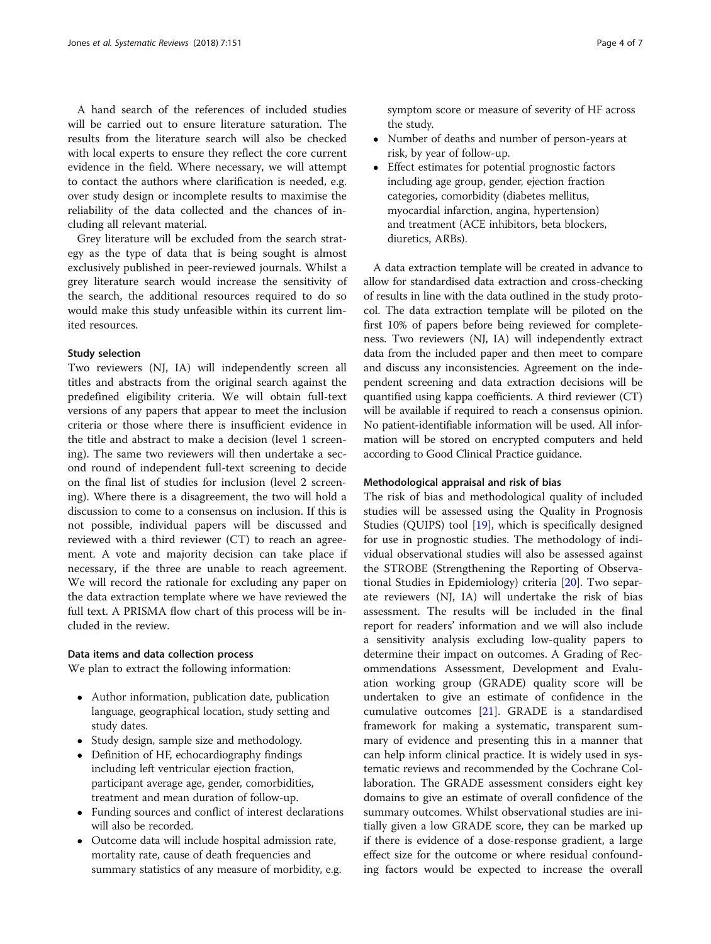A hand search of the references of included studies will be carried out to ensure literature saturation. The results from the literature search will also be checked with local experts to ensure they reflect the core current evidence in the field. Where necessary, we will attempt to contact the authors where clarification is needed, e.g. over study design or incomplete results to maximise the reliability of the data collected and the chances of including all relevant material.

Grey literature will be excluded from the search strategy as the type of data that is being sought is almost exclusively published in peer-reviewed journals. Whilst a grey literature search would increase the sensitivity of the search, the additional resources required to do so would make this study unfeasible within its current limited resources.

## Study selection

Two reviewers (NJ, IA) will independently screen all titles and abstracts from the original search against the predefined eligibility criteria. We will obtain full-text versions of any papers that appear to meet the inclusion criteria or those where there is insufficient evidence in the title and abstract to make a decision (level 1 screening). The same two reviewers will then undertake a second round of independent full-text screening to decide on the final list of studies for inclusion (level 2 screening). Where there is a disagreement, the two will hold a discussion to come to a consensus on inclusion. If this is not possible, individual papers will be discussed and reviewed with a third reviewer (CT) to reach an agreement. A vote and majority decision can take place if necessary, if the three are unable to reach agreement. We will record the rationale for excluding any paper on the data extraction template where we have reviewed the full text. A PRISMA flow chart of this process will be included in the review.

#### Data items and data collection process

We plan to extract the following information:

- Author information, publication date, publication language, geographical location, study setting and study dates.
- Study design, sample size and methodology.
- Definition of HF, echocardiography findings including left ventricular ejection fraction, participant average age, gender, comorbidities, treatment and mean duration of follow-up.
- Funding sources and conflict of interest declarations will also be recorded.
- Outcome data will include hospital admission rate, mortality rate, cause of death frequencies and summary statistics of any measure of morbidity, e.g.

symptom score or measure of severity of HF across the study.

- Number of deaths and number of person-years at risk, by year of follow-up.
- Effect estimates for potential prognostic factors including age group, gender, ejection fraction categories, comorbidity (diabetes mellitus, myocardial infarction, angina, hypertension) and treatment (ACE inhibitors, beta blockers, diuretics, ARBs).

A data extraction template will be created in advance to allow for standardised data extraction and cross-checking of results in line with the data outlined in the study protocol. The data extraction template will be piloted on the first 10% of papers before being reviewed for completeness. Two reviewers (NJ, IA) will independently extract data from the included paper and then meet to compare and discuss any inconsistencies. Agreement on the independent screening and data extraction decisions will be quantified using kappa coefficients. A third reviewer (CT) will be available if required to reach a consensus opinion. No patient-identifiable information will be used. All information will be stored on encrypted computers and held according to Good Clinical Practice guidance.

## Methodological appraisal and risk of bias

The risk of bias and methodological quality of included studies will be assessed using the Quality in Prognosis Studies (QUIPS) tool [[19\]](#page-6-0), which is specifically designed for use in prognostic studies. The methodology of individual observational studies will also be assessed against the STROBE (Strengthening the Reporting of Observational Studies in Epidemiology) criteria [\[20](#page-6-0)]. Two separate reviewers (NJ, IA) will undertake the risk of bias assessment. The results will be included in the final report for readers' information and we will also include a sensitivity analysis excluding low-quality papers to determine their impact on outcomes. A Grading of Recommendations Assessment, Development and Evaluation working group (GRADE) quality score will be undertaken to give an estimate of confidence in the cumulative outcomes [\[21\]](#page-6-0). GRADE is a standardised framework for making a systematic, transparent summary of evidence and presenting this in a manner that can help inform clinical practice. It is widely used in systematic reviews and recommended by the Cochrane Collaboration. The GRADE assessment considers eight key domains to give an estimate of overall confidence of the summary outcomes. Whilst observational studies are initially given a low GRADE score, they can be marked up if there is evidence of a dose-response gradient, a large effect size for the outcome or where residual confounding factors would be expected to increase the overall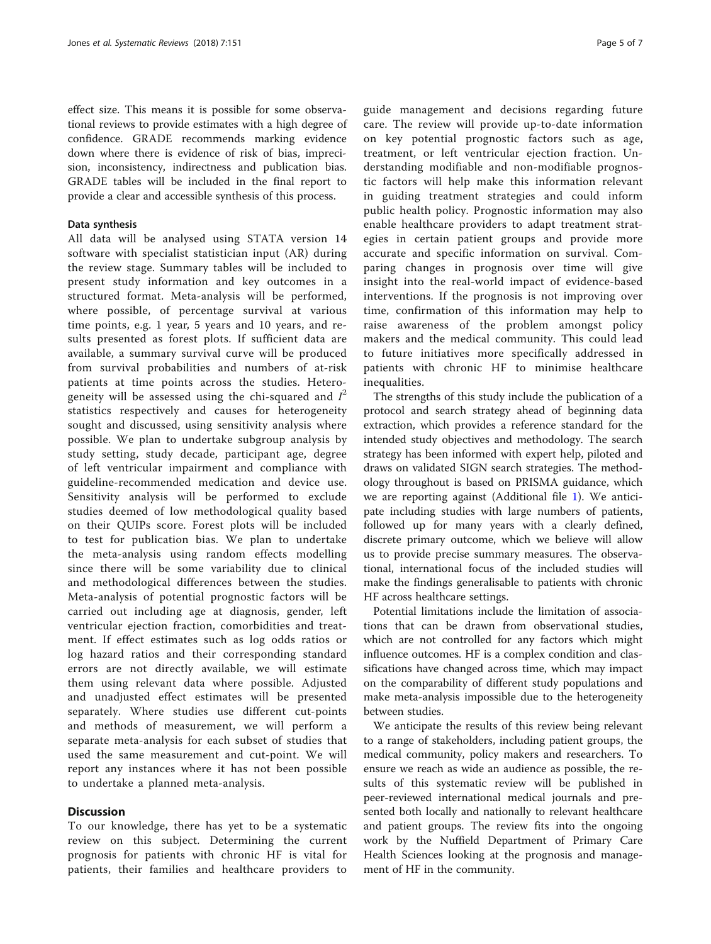effect size. This means it is possible for some observational reviews to provide estimates with a high degree of confidence. GRADE recommends marking evidence down where there is evidence of risk of bias, imprecision, inconsistency, indirectness and publication bias. GRADE tables will be included in the final report to provide a clear and accessible synthesis of this process.

#### Data synthesis

All data will be analysed using STATA version 14 software with specialist statistician input (AR) during the review stage. Summary tables will be included to present study information and key outcomes in a structured format. Meta-analysis will be performed, where possible, of percentage survival at various time points, e.g. 1 year, 5 years and 10 years, and results presented as forest plots. If sufficient data are available, a summary survival curve will be produced from survival probabilities and numbers of at-risk patients at time points across the studies. Heterogeneity will be assessed using the chi-squared and  $I^2$ statistics respectively and causes for heterogeneity sought and discussed, using sensitivity analysis where possible. We plan to undertake subgroup analysis by study setting, study decade, participant age, degree of left ventricular impairment and compliance with guideline-recommended medication and device use. Sensitivity analysis will be performed to exclude studies deemed of low methodological quality based on their QUIPs score. Forest plots will be included to test for publication bias. We plan to undertake the meta-analysis using random effects modelling since there will be some variability due to clinical and methodological differences between the studies. Meta-analysis of potential prognostic factors will be carried out including age at diagnosis, gender, left ventricular ejection fraction, comorbidities and treatment. If effect estimates such as log odds ratios or log hazard ratios and their corresponding standard errors are not directly available, we will estimate them using relevant data where possible. Adjusted and unadjusted effect estimates will be presented separately. Where studies use different cut-points and methods of measurement, we will perform a separate meta-analysis for each subset of studies that used the same measurement and cut-point. We will report any instances where it has not been possible to undertake a planned meta-analysis.

## **Discussion**

To our knowledge, there has yet to be a systematic review on this subject. Determining the current prognosis for patients with chronic HF is vital for patients, their families and healthcare providers to guide management and decisions regarding future care. The review will provide up-to-date information on key potential prognostic factors such as age, treatment, or left ventricular ejection fraction. Understanding modifiable and non-modifiable prognostic factors will help make this information relevant in guiding treatment strategies and could inform public health policy. Prognostic information may also enable healthcare providers to adapt treatment strategies in certain patient groups and provide more accurate and specific information on survival. Comparing changes in prognosis over time will give insight into the real-world impact of evidence-based interventions. If the prognosis is not improving over time, confirmation of this information may help to raise awareness of the problem amongst policy makers and the medical community. This could lead to future initiatives more specifically addressed in patients with chronic HF to minimise healthcare inequalities.

The strengths of this study include the publication of a protocol and search strategy ahead of beginning data extraction, which provides a reference standard for the intended study objectives and methodology. The search strategy has been informed with expert help, piloted and draws on validated SIGN search strategies. The methodology throughout is based on PRISMA guidance, which we are reporting against (Additional file [1](#page-5-0)). We anticipate including studies with large numbers of patients, followed up for many years with a clearly defined, discrete primary outcome, which we believe will allow us to provide precise summary measures. The observational, international focus of the included studies will make the findings generalisable to patients with chronic HF across healthcare settings.

Potential limitations include the limitation of associations that can be drawn from observational studies, which are not controlled for any factors which might influence outcomes. HF is a complex condition and classifications have changed across time, which may impact on the comparability of different study populations and make meta-analysis impossible due to the heterogeneity between studies.

We anticipate the results of this review being relevant to a range of stakeholders, including patient groups, the medical community, policy makers and researchers. To ensure we reach as wide an audience as possible, the results of this systematic review will be published in peer-reviewed international medical journals and presented both locally and nationally to relevant healthcare and patient groups. The review fits into the ongoing work by the Nuffield Department of Primary Care Health Sciences looking at the prognosis and management of HF in the community.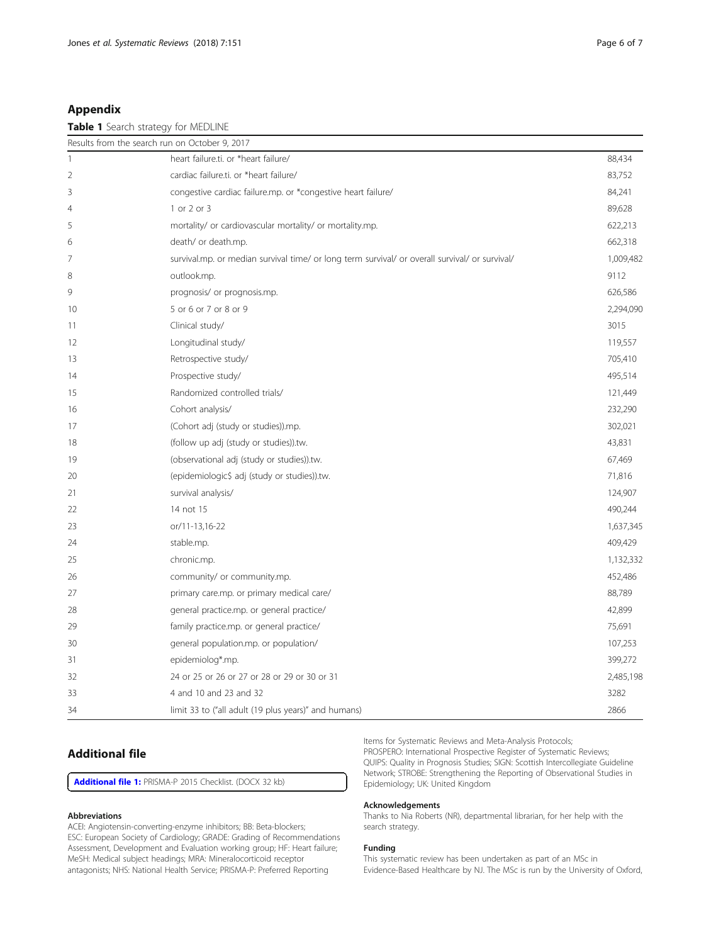## <span id="page-5-0"></span>Appendix

## Table 1 Search strategy for MEDLINE

| Results from the search run on October 9, 2017 |                                                                                                |           |
|------------------------------------------------|------------------------------------------------------------------------------------------------|-----------|
| $\mathbf{1}$                                   | heart failure.ti. or *heart failure/                                                           | 88,434    |
| $\overline{2}$                                 | cardiac failure.ti. or *heart failure/                                                         | 83,752    |
| 3                                              | congestive cardiac failure.mp. or *congestive heart failure/                                   | 84,241    |
| 4                                              | 1 or 2 or 3                                                                                    | 89,628    |
| 5                                              | mortality/ or cardiovascular mortality/ or mortality.mp.                                       | 622,213   |
| 6                                              | death/ or death.mp.                                                                            | 662,318   |
| 7                                              | survival.mp. or median survival time/ or long term survival/ or overall survival/ or survival/ | 1,009,482 |
| 8                                              | outlook.mp.                                                                                    | 9112      |
| 9                                              | prognosis/ or prognosis.mp.                                                                    | 626,586   |
| 10                                             | 5 or 6 or 7 or 8 or 9                                                                          | 2,294,090 |
| 11                                             | Clinical study/                                                                                | 3015      |
| 12                                             | Longitudinal study/                                                                            | 119,557   |
| 13                                             | Retrospective study/                                                                           | 705,410   |
| 14                                             | Prospective study/                                                                             | 495,514   |
| 15                                             | Randomized controlled trials/                                                                  | 121,449   |
| 16                                             | Cohort analysis/                                                                               | 232,290   |
| 17                                             | (Cohort adj (study or studies)).mp.                                                            | 302,021   |
| 18                                             | (follow up adj (study or studies)).tw.                                                         | 43,831    |
| 19                                             | (observational adj (study or studies)).tw.                                                     | 67,469    |
| 20                                             | (epidemiologic\$ adj (study or studies)).tw.                                                   | 71,816    |
| 21                                             | survival analysis/                                                                             | 124,907   |
| 22                                             | 14 not 15                                                                                      | 490,244   |
| 23                                             | or/11-13,16-22                                                                                 | 1,637,345 |
| 24                                             | stable.mp.                                                                                     | 409,429   |
| 25                                             | chronic.mp.                                                                                    | 1,132,332 |
| 26                                             | community/ or community.mp.                                                                    | 452,486   |
| 27                                             | primary care.mp. or primary medical care/                                                      | 88,789    |
| 28                                             | general practice.mp. or general practice/                                                      | 42,899    |
| 29                                             | family practice.mp. or general practice/                                                       | 75,691    |
| 30                                             | general population.mp. or population/                                                          | 107,253   |
| 31                                             | epidemiolog*.mp.                                                                               | 399,272   |
| 32                                             | 24 or 25 or 26 or 27 or 28 or 29 or 30 or 31                                                   | 2,485,198 |
| 33                                             | 4 and 10 and 23 and 32                                                                         | 3282      |
| 34                                             | limit 33 to ("all adult (19 plus years)" and humans)                                           | 2866      |

# Additional file

[Additional file 1:](https://doi.org/10.1186/s13643-018-0810-x) PRISMA-P 2015 Checklist. (DOCX 32 kb)

#### Abbreviations

ACEI: Angiotensin-converting-enzyme inhibitors; BB: Beta-blockers; ESC: European Society of Cardiology; GRADE: Grading of Recommendations Assessment, Development and Evaluation working group; HF: Heart failure; MeSH: Medical subject headings; MRA: Mineralocorticoid receptor antagonists; NHS: National Health Service; PRISMA-P: Preferred Reporting

Items for Systematic Reviews and Meta-Analysis Protocols; PROSPERO: International Prospective Register of Systematic Reviews; QUIPS: Quality in Prognosis Studies; SIGN: Scottish Intercollegiate Guideline Network; STROBE: Strengthening the Reporting of Observational Studies in Epidemiology; UK: United Kingdom

## Acknowledgements

Thanks to Nia Roberts (NR), departmental librarian, for her help with the search strategy.

#### Funding

This systematic review has been undertaken as part of an MSc in Evidence-Based Healthcare by NJ. The MSc is run by the University of Oxford,